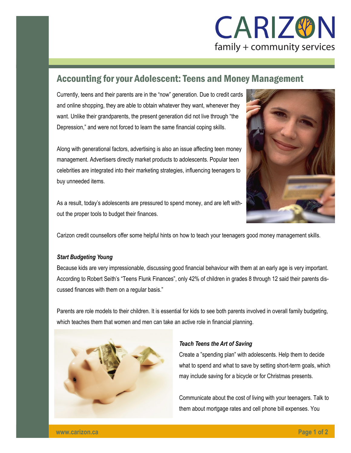

# Accounting for your Adolescent: Teens and Money Management

Currently, teens and their parents are in the "now" generation. Due to credit cards and online shopping, they are able to obtain whatever they want, whenever they want. Unlike their grandparents, the present generation did not live through "the Depression," and were not forced to learn the same financial coping skills.

Along with generational factors, advertising is also an issue affecting teen money management. Advertisers directly market products to adolescents. Popular teen celebrities are integrated into their marketing strategies, influencing teenagers to buy unneeded items.

As a result, today's adolescents are pressured to spend money, and are left without the proper tools to budget their finances.



Carizon credit counsellors offer some helpful hints on how to teach your teenagers good money management skills.

## *Start Budgeting Young*

Because kids are very impressionable, discussing good financial behaviour with them at an early age is very important. According to Robert Seith's "Teens Flunk Finances", only 42% of children in grades 8 through 12 said their parents discussed finances with them on a regular basis."

Parents are role models to their children. It is essential for kids to see both parents involved in overall family budgeting, which teaches them that women and men can take an active role in financial planning.



## *Teach Teens the Art of Saving*

Create a "spending plan" with adolescents. Help them to decide what to spend and what to save by setting short-term goals, which may include saving for a bicycle or for Christmas presents.

Communicate about the cost of living with your teenagers. Talk to them about mortgage rates and cell phone bill expenses. You